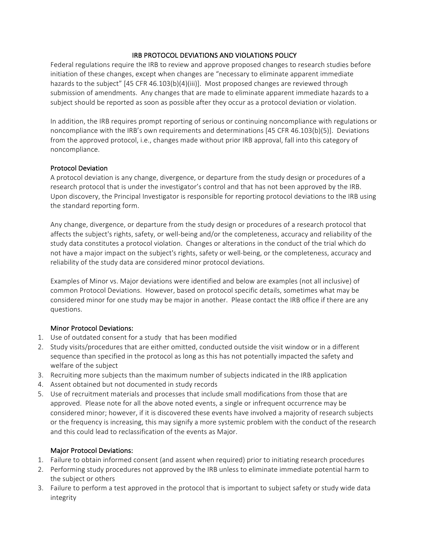### IRB PROTOCOL DEVIATIONS AND VIOLATIONS POLICY

Federal regulations require the IRB to review and approve proposed changes to research studies before initiation of these changes, except when changes are "necessary to eliminate apparent immediate hazards to the subject" [45 CFR 46.103(b)(4)(iii)]. Most proposed changes are reviewed through submission of amendments. Any changes that are made to eliminate apparent immediate hazards to a subject should be reported as soon as possible after they occur as a protocol deviation or violation.

In addition, the IRB requires prompt reporting of serious or continuing noncompliance with regulations or noncompliance with the IRB's own requirements and determinations [45 CFR 46.103(b)(5)]. Deviations from the approved protocol, i.e., changes made without prior IRB approval, fall into this category of noncompliance. 

#### Protocol Deviation

A protocol deviation is any change, divergence, or departure from the study design or procedures of a research protocol that is under the investigator's control and that has not been approved by the IRB. Upon discovery, the Principal Investigator is responsible for reporting protocol deviations to the IRB using the standard reporting form.

Any change, divergence, or departure from the study design or procedures of a research protocol that affects the subject's rights, safety, or well-being and/or the completeness, accuracy and reliability of the study data constitutes a protocol violation. Changes or alterations in the conduct of the trial which do not have a major impact on the subject's rights, safety or well-being, or the completeness, accuracy and reliability of the study data are considered minor protocol deviations.

Examples of Minor vs. Major deviations were identified and below are examples (not all inclusive) of common Protocol Deviations. However, based on protocol specific details, sometimes what may be considered minor for one study may be major in another. Please contact the IRB office if there are any questions. 

# Minor Protocol Deviations:

- 1. Use of outdated consent for a study that has been modified
- 2. Study visits/procedures that are either omitted, conducted outside the visit window or in a different sequence than specified in the protocol as long as this has not potentially impacted the safety and welfare of the subject
- 3. Recruiting more subjects than the maximum number of subjects indicated in the IRB application
- 4. Assent obtained but not documented in study records
- 5. Use of recruitment materials and processes that include small modifications from those that are approved. Please note for all the above noted events, a single or infrequent occurrence may be considered minor; however, if it is discovered these events have involved a majority of research subjects or the frequency is increasing, this may signify a more systemic problem with the conduct of the research and this could lead to reclassification of the events as Major.

# Major Protocol Deviations:

- 1. Failure to obtain informed consent (and assent when required) prior to initiating research procedures
- 2. Performing study procedures not approved by the IRB unless to eliminate immediate potential harm to the subject or others
- 3. Failure to perform a test approved in the protocol that is important to subject safety or study wide data integrity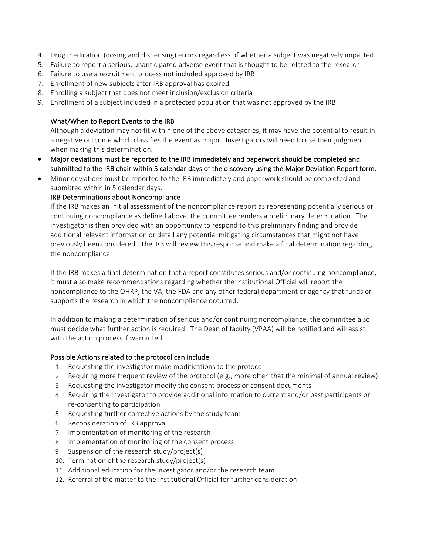- 4. Drug medication (dosing and dispensing) errors regardless of whether a subject was negatively impacted
- 5. Failure to report a serious, unanticipated adverse event that is thought to be related to the research
- 6. Failure to use a recruitment process not included approved by IRB
- 7. Enrollment of new subjects after IRB approval has expired
- 8. Enrolling a subject that does not meet inclusion/exclusion criteria
- 9. Enrollment of a subject included in a protected population that was not approved by the IRB

### What/When to Report Events to the IRB

Although a deviation may not fit within one of the above categories, it may have the potential to result in a negative outcome which classifies the event as major. Investigators will need to use their judgment when making this determination.

- Major deviations must be reported to the IRB immediately and paperwork should be completed and submitted to the IRB chair within 5 calendar days of the discovery using the Major Deviation Report form.
- Minor deviations must be reported to the IRB immediately and paperwork should be completed and submitted within in 5 calendar days.

# IRB Determinations about Noncompliance

If the IRB makes an initial assessment of the noncompliance report as representing potentially serious or continuing noncompliance as defined above, the committee renders a preliminary determination. The investigator is then provided with an opportunity to respond to this preliminary finding and provide additional relevant information or detail any potential mitigating circumstances that might not have previously been considered. The IRB will review this response and make a final determination regarding the noncompliance.

If the IRB makes a final determination that a report constitutes serious and/or continuing noncompliance, it must also make recommendations regarding whether the Institutional Official will report the noncompliance to the OHRP, the VA, the FDA and any other federal department or agency that funds or supports the research in which the noncompliance occurred.

In addition to making a determination of serious and/or continuing noncompliance, the committee also must decide what further action is required. The Dean of faculty (VPAA) will be notified and will assist with the action process if warranted.

# Possible Actions related to the protocol can include:

- 1. Requesting the investigator make modifications to the protocol
- 2. Requiring more frequent review of the protocol (e.g., more often that the minimal of annual review)
- 3. Requesting the investigator modify the consent process or consent documents
- 4. Requiring the investigator to provide additional information to current and/or past participants or re-consenting to participation
- 5. Requesting further corrective actions by the study team
- 6. Reconsideration of IRB approval
- 7. Implementation of monitoring of the research
- 8. Implementation of monitoring of the consent process
- 9. Suspension of the research study/project(s)
- 10. Termination of the research study/project(s)
- 11. Additional education for the investigator and/or the research team
- 12. Referral of the matter to the Institutional Official for further consideration